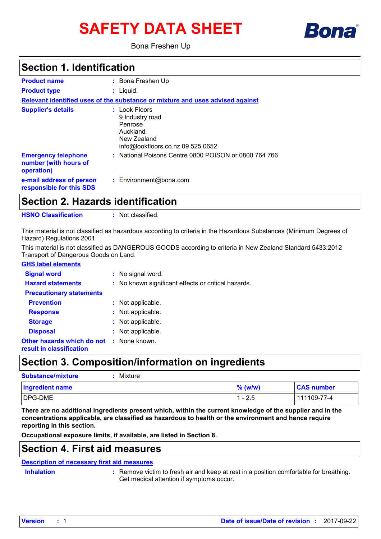# **SAFETY DATA SHEET**



Bona Freshen Up

### **Section 1. Identification**

| <b>Product name</b><br><b>Product type</b>                        | : Bona Freshen Up<br>$:$ Liquid.                                                                            |  |  |  |  |
|-------------------------------------------------------------------|-------------------------------------------------------------------------------------------------------------|--|--|--|--|
|                                                                   | Relevant identified uses of the substance or mixture and uses advised against                               |  |  |  |  |
| <b>Supplier's details</b>                                         | : Look Floors<br>9 Industry road<br>Penrose<br>Auckland<br>New Zealand<br>info@lookfloors.co.nz 09 525 0652 |  |  |  |  |
| <b>Emergency telephone</b><br>number (with hours of<br>operation) | : National Poisons Centre 0800 POISON or 0800 764 766                                                       |  |  |  |  |
| e-mail address of person<br>responsible for this SDS              | $:$ Environment@bona.com                                                                                    |  |  |  |  |

**Section 2. Hazards identification**

**HSNO Classification :** Not classified.

This material is not classified as hazardous according to criteria in the Hazardous Substances (Minimum Degrees of Hazard) Regulations 2001.

**GHS label elements** This material is not classified as DANGEROUS GOODS according to criteria in New Zealand Standard 5433:2012 Transport of Dangerous Goods on Land.

| <b>GHS label elements</b>                              |                                                     |
|--------------------------------------------------------|-----------------------------------------------------|
| <b>Signal word</b>                                     | : No signal word.                                   |
| <b>Hazard statements</b>                               | : No known significant effects or critical hazards. |
| <b>Precautionary statements</b>                        |                                                     |
| <b>Prevention</b>                                      | : Not applicable.                                   |
| <b>Response</b>                                        | : Not applicable.                                   |
| <b>Storage</b>                                         | : Not applicable.                                   |
| <b>Disposal</b>                                        | : Not applicable.                                   |
| Other hazards which do not<br>result in classification | : None known.                                       |

## **Section 3. Composition/information on ingredients**

| <b>Substance/mixture</b> | Mixture |           |                   |
|--------------------------|---------|-----------|-------------------|
| <b>Ingredient name</b>   |         | $%$ (w/w) | <b>CAS number</b> |
| DPG-DME                  |         | $1 - 2.5$ | 111109-77-4       |

**There are no additional ingredients present which, within the current knowledge of the supplier and in the concentrations applicable, are classified as hazardous to health or the environment and hence require reporting in this section.**

**Occupational exposure limits, if available, are listed in Section 8.**

### **Section 4. First aid measures**

#### **Description of necessary first aid measures**

**Inhalation :**

Remove victim to fresh air and keep at rest in a position comfortable for breathing. Get medical attention if symptoms occur.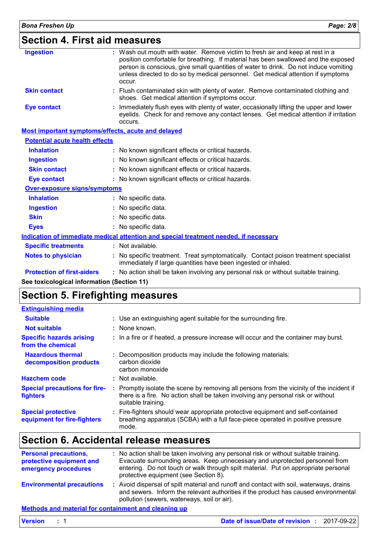| <b>Bona Freshen Up</b>                                    | Page: 2/8                                                                                                                                                                                                                                                                                                                                                 |  |  |  |
|-----------------------------------------------------------|-----------------------------------------------------------------------------------------------------------------------------------------------------------------------------------------------------------------------------------------------------------------------------------------------------------------------------------------------------------|--|--|--|
| <b>Section 4. First aid measures</b>                      |                                                                                                                                                                                                                                                                                                                                                           |  |  |  |
| <b>Ingestion</b>                                          | : Wash out mouth with water. Remove victim to fresh air and keep at rest in a<br>position comfortable for breathing. If material has been swallowed and the exposed<br>person is conscious, give small quantities of water to drink. Do not induce vomiting<br>unless directed to do so by medical personnel. Get medical attention if symptoms<br>occur. |  |  |  |
| <b>Skin contact</b>                                       | Flush contaminated skin with plenty of water. Remove contaminated clothing and<br>shoes. Get medical attention if symptoms occur.                                                                                                                                                                                                                         |  |  |  |
| <b>Eye contact</b>                                        | Immediately flush eyes with plenty of water, occasionally lifting the upper and lower<br>eyelids. Check for and remove any contact lenses. Get medical attention if irritation<br>occurs.                                                                                                                                                                 |  |  |  |
| <b>Most important symptoms/effects, acute and delayed</b> |                                                                                                                                                                                                                                                                                                                                                           |  |  |  |
| <b>Potential acute health effects</b>                     |                                                                                                                                                                                                                                                                                                                                                           |  |  |  |
| <b>Inhalation</b>                                         | : No known significant effects or critical hazards.                                                                                                                                                                                                                                                                                                       |  |  |  |
| <b>Ingestion</b>                                          | No known significant effects or critical hazards.                                                                                                                                                                                                                                                                                                         |  |  |  |
| <b>Skin contact</b>                                       | No known significant effects or critical hazards.                                                                                                                                                                                                                                                                                                         |  |  |  |
| <b>Eye contact</b>                                        | : No known significant effects or critical hazards.                                                                                                                                                                                                                                                                                                       |  |  |  |
| <b>Over-exposure signs/symptoms</b>                       |                                                                                                                                                                                                                                                                                                                                                           |  |  |  |
| <b>Inhalation</b>                                         | : No specific data.                                                                                                                                                                                                                                                                                                                                       |  |  |  |
| <b>Ingestion</b>                                          | No specific data.                                                                                                                                                                                                                                                                                                                                         |  |  |  |
| <b>Skin</b>                                               | No specific data.                                                                                                                                                                                                                                                                                                                                         |  |  |  |
| <b>Eyes</b>                                               | : No specific data.                                                                                                                                                                                                                                                                                                                                       |  |  |  |
|                                                           | Indication of immediate medical attention and special treatment needed, if necessary                                                                                                                                                                                                                                                                      |  |  |  |
| <b>Specific treatments</b>                                | : Not available.                                                                                                                                                                                                                                                                                                                                          |  |  |  |
| <b>Notes to physician</b>                                 | No specific treatment. Treat symptomatically. Contact poison treatment specialist<br>immediately if large quantities have been ingested or inhaled.                                                                                                                                                                                                       |  |  |  |
| <b>Protection of first-aiders</b>                         | : No action shall be taken involving any personal risk or without suitable training.                                                                                                                                                                                                                                                                      |  |  |  |
| See toxicological information (Section 11)                |                                                                                                                                                                                                                                                                                                                                                           |  |  |  |

# **Section 5. Firefighting measures**

| <b>Extinguishing media</b>                               |                                                                                                                                                                                                     |
|----------------------------------------------------------|-----------------------------------------------------------------------------------------------------------------------------------------------------------------------------------------------------|
| <b>Suitable</b>                                          | : Use an extinguishing agent suitable for the surrounding fire.                                                                                                                                     |
| <b>Not suitable</b>                                      | : None known.                                                                                                                                                                                       |
| <b>Specific hazards arising</b><br>from the chemical     | : In a fire or if heated, a pressure increase will occur and the container may burst.                                                                                                               |
| <b>Hazardous thermal</b><br>decomposition products       | : Decomposition products may include the following materials:<br>carbon dioxide<br>carbon monoxide                                                                                                  |
| <b>Hazchem code</b>                                      | : Not available.                                                                                                                                                                                    |
| <b>Special precautions for fire-</b><br><b>fighters</b>  | : Promptly isolate the scene by removing all persons from the vicinity of the incident if<br>there is a fire. No action shall be taken involving any personal risk or without<br>suitable training. |
| <b>Special protective</b><br>equipment for fire-fighters | : Fire-fighters should wear appropriate protective equipment and self-contained<br>breathing apparatus (SCBA) with a full face-piece operated in positive pressure<br>mode.                         |

# **Section 6. Accidental release measures**

| <b>Personal precautions,</b><br>protective equipment and<br>emergency procedures |  | : No action shall be taken involving any personal risk or without suitable training.<br>Evacuate surrounding areas. Keep unnecessary and unprotected personnel from<br>entering. Do not touch or walk through spilt material. Put on appropriate personal<br>protective equipment (see Section 8). |
|----------------------------------------------------------------------------------|--|----------------------------------------------------------------------------------------------------------------------------------------------------------------------------------------------------------------------------------------------------------------------------------------------------|
| <b>Environmental precautions</b>                                                 |  | : Avoid dispersal of spilt material and runoff and contact with soil, waterways, drains<br>and sewers. Inform the relevant authorities if the product has caused environmental<br>pollution (sewers, waterways, soil or air).                                                                      |
| Mothodo and motorial for containment and election up                             |  |                                                                                                                                                                                                                                                                                                    |

#### **Methods and material for containment and cleaning up**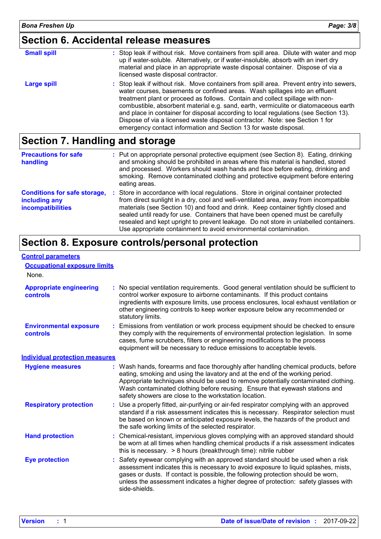# **Section 6. Accidental release measures**

| <b>Small spill</b> | : Stop leak if without risk. Move containers from spill area. Dilute with water and mop<br>up if water-soluble. Alternatively, or if water-insoluble, absorb with an inert dry<br>material and place in an appropriate waste disposal container. Dispose of via a<br>licensed waste disposal contractor.                                                                                                                                                                                                                                                                                    |
|--------------------|---------------------------------------------------------------------------------------------------------------------------------------------------------------------------------------------------------------------------------------------------------------------------------------------------------------------------------------------------------------------------------------------------------------------------------------------------------------------------------------------------------------------------------------------------------------------------------------------|
| Large spill        | : Stop leak if without risk. Move containers from spill area. Prevent entry into sewers,<br>water courses, basements or confined areas. Wash spillages into an effluent<br>treatment plant or proceed as follows. Contain and collect spillage with non-<br>combustible, absorbent material e.g. sand, earth, vermiculite or diatomaceous earth<br>and place in container for disposal according to local regulations (see Section 13).<br>Dispose of via a licensed waste disposal contractor. Note: see Section 1 for<br>emergency contact information and Section 13 for waste disposal. |

# **Section 7. Handling and storage**

| <b>Precautions for safe</b><br>handling                                          | : Put on appropriate personal protective equipment (see Section 8). Eating, drinking<br>and smoking should be prohibited in areas where this material is handled, stored<br>and processed. Workers should wash hands and face before eating, drinking and<br>smoking. Remove contaminated clothing and protective equipment before entering<br>eating areas.                                                                                                                                                   |
|----------------------------------------------------------------------------------|----------------------------------------------------------------------------------------------------------------------------------------------------------------------------------------------------------------------------------------------------------------------------------------------------------------------------------------------------------------------------------------------------------------------------------------------------------------------------------------------------------------|
| <b>Conditions for safe storage,</b><br>including any<br><b>incompatibilities</b> | : Store in accordance with local regulations. Store in original container protected<br>from direct sunlight in a dry, cool and well-ventilated area, away from incompatible<br>materials (see Section 10) and food and drink. Keep container tightly closed and<br>sealed until ready for use. Containers that have been opened must be carefully<br>resealed and kept upright to prevent leakage. Do not store in unlabelled containers.<br>Use appropriate containment to avoid environmental contamination. |

## **Section 8. Exposure controls/personal protection**

#### **Control parameters**

#### **Occupational exposure limits**

| None.                                      |                                                                                                                                                                                                                                                                                                                                                                                                   |  |
|--------------------------------------------|---------------------------------------------------------------------------------------------------------------------------------------------------------------------------------------------------------------------------------------------------------------------------------------------------------------------------------------------------------------------------------------------------|--|
| <b>Appropriate engineering</b><br>controls | : No special ventilation requirements. Good general ventilation should be sufficient to<br>control worker exposure to airborne contaminants. If this product contains<br>ingredients with exposure limits, use process enclosures, local exhaust ventilation or<br>other engineering controls to keep worker exposure below any recommended or<br>statutory limits.                               |  |
| <b>Environmental exposure</b><br>controls  | : Emissions from ventilation or work process equipment should be checked to ensure<br>they comply with the requirements of environmental protection legislation. In some<br>cases, fume scrubbers, filters or engineering modifications to the process<br>equipment will be necessary to reduce emissions to acceptable levels.                                                                   |  |
| <b>Individual protection measures</b>      |                                                                                                                                                                                                                                                                                                                                                                                                   |  |
| <b>Hygiene measures</b>                    | : Wash hands, forearms and face thoroughly after handling chemical products, before<br>eating, smoking and using the lavatory and at the end of the working period.<br>Appropriate techniques should be used to remove potentially contaminated clothing.<br>Wash contaminated clothing before reusing. Ensure that eyewash stations and<br>safety showers are close to the workstation location. |  |
| <b>Respiratory protection</b>              | : Use a properly fitted, air-purifying or air-fed respirator complying with an approved<br>standard if a risk assessment indicates this is necessary. Respirator selection must<br>be based on known or anticipated exposure levels, the hazards of the product and<br>the safe working limits of the selected respirator.                                                                        |  |
| <b>Hand protection</b>                     | : Chemical-resistant, impervious gloves complying with an approved standard should<br>be worn at all times when handling chemical products if a risk assessment indicates<br>this is necessary. $> 8$ hours (breakthrough time): nitrile rubber                                                                                                                                                   |  |
| <b>Eye protection</b>                      | : Safety eyewear complying with an approved standard should be used when a risk<br>assessment indicates this is necessary to avoid exposure to liquid splashes, mists,<br>gases or dusts. If contact is possible, the following protection should be worn,<br>unless the assessment indicates a higher degree of protection: safety glasses with<br>side-shields.                                 |  |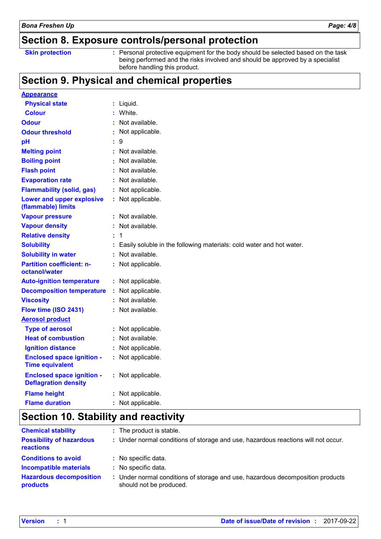### **Section 8. Exposure controls/personal protection**

| <b>Skin protection</b> |
|------------------------|
|------------------------|

**Skin protection Personal protective equipment for the body should be selected based on the task in the task in the task in the task in the task in the task in the task in the task in the task in the task in the task in** being performed and the risks involved and should be approved by a specialist before handling this product.

# **Section 9. Physical and chemical properties**

| <b>Appearance</b>                                               |    |                                                                      |
|-----------------------------------------------------------------|----|----------------------------------------------------------------------|
| <b>Physical state</b>                                           |    | Liquid.                                                              |
| <b>Colour</b>                                                   |    | White.                                                               |
| <b>Odour</b>                                                    |    | Not available.                                                       |
| <b>Odour threshold</b>                                          |    | Not applicable.                                                      |
| pH                                                              |    | 9                                                                    |
| <b>Melting point</b>                                            |    | Not available.                                                       |
| <b>Boiling point</b>                                            |    | Not available.                                                       |
| <b>Flash point</b>                                              |    | Not available.                                                       |
| <b>Evaporation rate</b>                                         |    | Not available.                                                       |
| <b>Flammability (solid, gas)</b>                                |    | Not applicable.                                                      |
| Lower and upper explosive<br>(flammable) limits                 |    | Not applicable.                                                      |
| <b>Vapour pressure</b>                                          |    | Not available.                                                       |
| <b>Vapour density</b>                                           |    | Not available.                                                       |
| <b>Relative density</b>                                         |    | 1                                                                    |
| <b>Solubility</b>                                               |    | Easily soluble in the following materials: cold water and hot water. |
| <b>Solubility in water</b>                                      |    | Not available.                                                       |
| <b>Partition coefficient: n-</b><br>octanol/water               |    | : Not applicable.                                                    |
| <b>Auto-ignition temperature</b>                                |    | : Not applicable.                                                    |
| <b>Decomposition temperature</b>                                | ÷  | Not applicable.                                                      |
| <b>Viscosity</b>                                                |    | Not available.                                                       |
| Flow time (ISO 2431)                                            |    | Not available.                                                       |
| <b>Aerosol product</b>                                          |    |                                                                      |
| <b>Type of aerosol</b>                                          |    | Not applicable.                                                      |
| <b>Heat of combustion</b>                                       |    | Not available.                                                       |
| <b>Ignition distance</b>                                        | ÷  | Not applicable.                                                      |
| <b>Enclosed space ignition -</b><br><b>Time equivalent</b>      |    | : Not applicable.                                                    |
| <b>Enclosed space ignition -</b><br><b>Deflagration density</b> |    | : Not applicable.                                                    |
| <b>Flame height</b>                                             |    | Not applicable.                                                      |
| <b>Flame duration</b>                                           | ř. | Not applicable.                                                      |

# **Section 10. Stability and reactivity**

| <b>Chemical stability</b>                    | : The product is stable.                                                                                |
|----------------------------------------------|---------------------------------------------------------------------------------------------------------|
| <b>Possibility of hazardous</b><br>reactions | : Under normal conditions of storage and use, hazardous reactions will not occur.                       |
| <b>Conditions to avoid</b>                   | : No specific data.                                                                                     |
| <b>Incompatible materials</b>                | : No specific data.                                                                                     |
| <b>Hazardous decomposition</b><br>products   | Under normal conditions of storage and use, hazardous decomposition products<br>should not be produced. |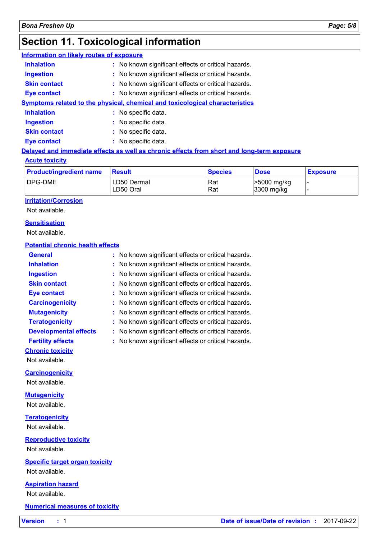# **Section 11. Toxicological information**

| Information on likely routes of exposure |                                                                              |
|------------------------------------------|------------------------------------------------------------------------------|
| <b>Inhalation</b>                        | : No known significant effects or critical hazards.                          |
| <b>Ingestion</b>                         | : No known significant effects or critical hazards.                          |
| <b>Skin contact</b>                      | : No known significant effects or critical hazards.                          |
| <b>Eye contact</b>                       | : No known significant effects or critical hazards.                          |
|                                          | Symptoms related to the physical, chemical and toxicological characteristics |
| <b>Inhalation</b>                        | : No specific data.                                                          |
| <b>Ingestion</b>                         | : No specific data.                                                          |
| <b>Skin contact</b>                      | : No specific data.                                                          |
| Eye contact                              | : No specific data.                                                          |
|                                          |                                                                              |

#### **Delayed and immediate effects as well as chronic effects from short and long-term exposure**

#### **Acute toxicity**

| <b>Product/ingredient name</b> | <b>Result</b> | <b>Species</b> | <b>Dose</b> | <b>Exposure</b> |
|--------------------------------|---------------|----------------|-------------|-----------------|
| <b>DPG-DME</b>                 | LD50 Dermal   | Rat            | >5000 mg/kg | . .             |
|                                | LD50 Oral     | Rat            | 3300 mg/kg  |                 |

#### **Irritation/Corrosion**

Not available.

#### **Sensitisation**

Not available.

#### **Potential chronic health effects**

| <b>General</b>                        | No known significant effects or critical hazards. |
|---------------------------------------|---------------------------------------------------|
| <b>Inhalation</b>                     | No known significant effects or critical hazards. |
| <b>Ingestion</b>                      | No known significant effects or critical hazards. |
| <b>Skin contact</b>                   | No known significant effects or critical hazards. |
| <b>Eye contact</b>                    | No known significant effects or critical hazards. |
| <b>Carcinogenicity</b>                | No known significant effects or critical hazards. |
| <b>Mutagenicity</b>                   | No known significant effects or critical hazards. |
| <b>Teratogenicity</b>                 | No known significant effects or critical hazards. |
| <b>Developmental effects</b>          | No known significant effects or critical hazards. |
| <b>Fertility effects</b>              | No known significant effects or critical hazards. |
| <b>Chronic toxicity</b>               |                                                   |
| Not available.                        |                                                   |
| <b>Carcinogenicity</b>                |                                                   |
| Not available.                        |                                                   |
| <b>Mutagenicity</b>                   |                                                   |
| Not available.                        |                                                   |
| <b>Teratogenicity</b>                 |                                                   |
| Not available.                        |                                                   |
| <b>Reproductive toxicity</b>          |                                                   |
| Not available.                        |                                                   |
| <b>Specific target organ toxicity</b> |                                                   |
| Not available.                        |                                                   |
| <b>Aspiration hazard</b>              |                                                   |
| Not available.                        |                                                   |
| <b>Numerical measures of toxicity</b> |                                                   |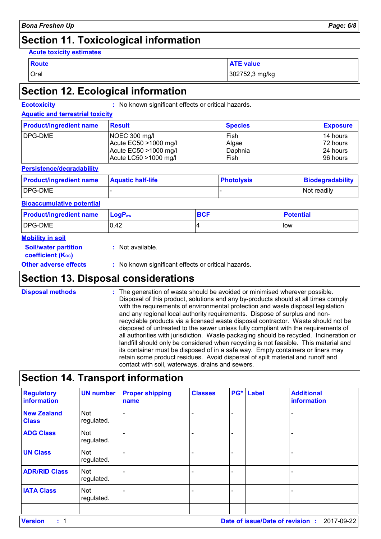# **Section 11. Toxicological information**

#### **Acute toxicity estimates**

| Route | value<br>. E   |
|-------|----------------|
| Oral  | 302752,3 mg/kg |

### **Section 12. Ecological information**

**Ecotoxicity :** No known significant effects or critical hazards.

#### **Aquatic and terrestrial toxicity**

| <b>Product/ingredient name</b> | Result                | <b>Species</b> | <b>Exposure</b> |
|--------------------------------|-----------------------|----------------|-----------------|
| DPG-DME                        | NOEC 300 mg/l         | Fish           | 114 hours       |
|                                | Acute EC50 >1000 mg/l | Algae          | 172 hours       |
|                                | Acute EC50 >1000 mg/l | Daphnia        | 124 hours       |
|                                | Acute LC50 >1000 mg/l | Fish           | 196 hours       |

#### **Persistence/degradability**

| <b>Product/ingredient name</b> | <b>Aquatic half-life</b> | <b>Photolysis</b> | Biodegradability   |
|--------------------------------|--------------------------|-------------------|--------------------|
| DPG-DME                        |                          |                   | <b>Not readily</b> |

#### **Bioaccumulative potential**

| <b>Product/ingredient name</b> | $ $ LogP <sub>ow</sub> | <b>BCF</b> | <b>Potential</b> |
|--------------------------------|------------------------|------------|------------------|
| DPG-DME                        | 0,42                   |            | <b>llow</b>      |

#### **Mobility in soil**

**:** Not available.

**coefficient (KOC)**

**Soil/water partition** 

**Other adverse effects** : No known significant effects or critical hazards.

# **Section 13. Disposal considerations**

The generation of waste should be avoided or minimised wherever possible. Disposal of this product, solutions and any by-products should at all times comply with the requirements of environmental protection and waste disposal legislation and any regional local authority requirements. Dispose of surplus and nonrecyclable products via a licensed waste disposal contractor. Waste should not be disposed of untreated to the sewer unless fully compliant with the requirements of all authorities with jurisdiction. Waste packaging should be recycled. Incineration or landfill should only be considered when recycling is not feasible. This material and its container must be disposed of in a safe way. Empty containers or liners may retain some product residues. Avoid dispersal of spilt material and runoff and contact with soil, waterways, drains and sewers. **Disposal methods :**

# **Section 14. Transport information**

| <b>Regulatory</b><br>information   | <b>UN number</b>         | <b>Proper shipping</b><br>name | <b>Classes</b> |                          | PG* Label | <b>Additional</b><br>information |
|------------------------------------|--------------------------|--------------------------------|----------------|--------------------------|-----------|----------------------------------|
| <b>New Zealand</b><br><b>Class</b> | Not<br>regulated.        |                                |                |                          |           |                                  |
| <b>ADG Class</b>                   | Not<br>regulated.        |                                |                | $\overline{\phantom{0}}$ |           |                                  |
| <b>UN Class</b>                    | <b>Not</b><br>regulated. |                                |                |                          |           |                                  |
| <b>ADR/RID Class</b>               | Not<br>regulated.        |                                |                |                          |           |                                  |
| <b>IATA Class</b>                  | Not<br>regulated.        |                                |                | -                        |           |                                  |
|                                    |                          |                                |                |                          |           |                                  |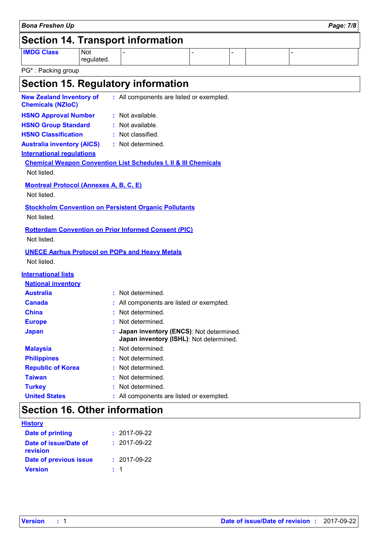|                                                              |                          | <b>Section 14. Transport information</b>                                           |               |                          |                |
|--------------------------------------------------------------|--------------------------|------------------------------------------------------------------------------------|---------------|--------------------------|----------------|
| <b>IMDG Class</b>                                            | <b>Not</b><br>regulated. |                                                                                    | $\frac{1}{2}$ | $\overline{\phantom{0}}$ | $\overline{a}$ |
| PG*: Packing group                                           |                          |                                                                                    |               |                          |                |
|                                                              |                          | Section 15. Regulatory information                                                 |               |                          |                |
| <b>New Zealand Inventory of</b><br><b>Chemicals (NZIoC)</b>  |                          | : All components are listed or exempted.                                           |               |                          |                |
| <b>HSNO Approval Number</b>                                  |                          | : Not available.                                                                   |               |                          |                |
| <b>HSNO Group Standard</b>                                   |                          | Not available.                                                                     |               |                          |                |
| <b>HSNO Classification</b>                                   |                          | : Not classified.                                                                  |               |                          |                |
| <b>Australia inventory (AICS)</b>                            |                          | : Not determined.                                                                  |               |                          |                |
| <b>International regulations</b>                             |                          |                                                                                    |               |                          |                |
| Not listed.                                                  |                          | <b>Chemical Weapon Convention List Schedules I, II &amp; III Chemicals</b>         |               |                          |                |
| <b>Montreal Protocol (Annexes A, B, C, E)</b><br>Not listed. |                          |                                                                                    |               |                          |                |
| Not listed.                                                  |                          | <b>Stockholm Convention on Persistent Organic Pollutants</b>                       |               |                          |                |
|                                                              |                          | <b>Rotterdam Convention on Prior Informed Consent (PIC)</b>                        |               |                          |                |
| Not listed.                                                  |                          |                                                                                    |               |                          |                |
|                                                              |                          | <b>UNECE Aarhus Protocol on POPs and Heavy Metals</b>                              |               |                          |                |
| Not listed.                                                  |                          |                                                                                    |               |                          |                |
| <b>International lists</b>                                   |                          |                                                                                    |               |                          |                |
| <b>National inventory</b>                                    |                          |                                                                                    |               |                          |                |
| <b>Australia</b>                                             |                          | : Not determined.                                                                  |               |                          |                |
| <b>Canada</b>                                                |                          | : All components are listed or exempted.                                           |               |                          |                |
| <b>China</b>                                                 |                          | : Not determined.                                                                  |               |                          |                |
| <b>Europe</b>                                                |                          | : Not determined.                                                                  |               |                          |                |
| <b>Japan</b>                                                 |                          | Japan inventory (ENCS): Not determined.<br>Japan inventory (ISHL): Not determined. |               |                          |                |
| <b>Malaysia</b>                                              |                          | : Not determined.                                                                  |               |                          |                |
| <b>Philippines</b>                                           |                          | : Not determined.                                                                  |               |                          |                |
| <b>Republic of Korea</b>                                     |                          | : Not determined.                                                                  |               |                          |                |
| <b>Taiwan</b>                                                |                          | Not determined.                                                                    |               |                          |                |
| <b>Turkey</b>                                                |                          | Not determined.                                                                    |               |                          |                |
| <b>United States</b>                                         |                          | : All components are listed or exempted.                                           |               |                          |                |
| <b>Section 16. Other information</b>                         |                          |                                                                                    |               |                          |                |
| <b>History</b>                                               |                          |                                                                                    |               |                          |                |

*Bona Freshen Up Page: 7/8*

| $: 2017-09-22$     |
|--------------------|
| $: 2017-09-22$     |
| $: 2017 - 09 - 22$ |
| $\pm$ 1            |
|                    |